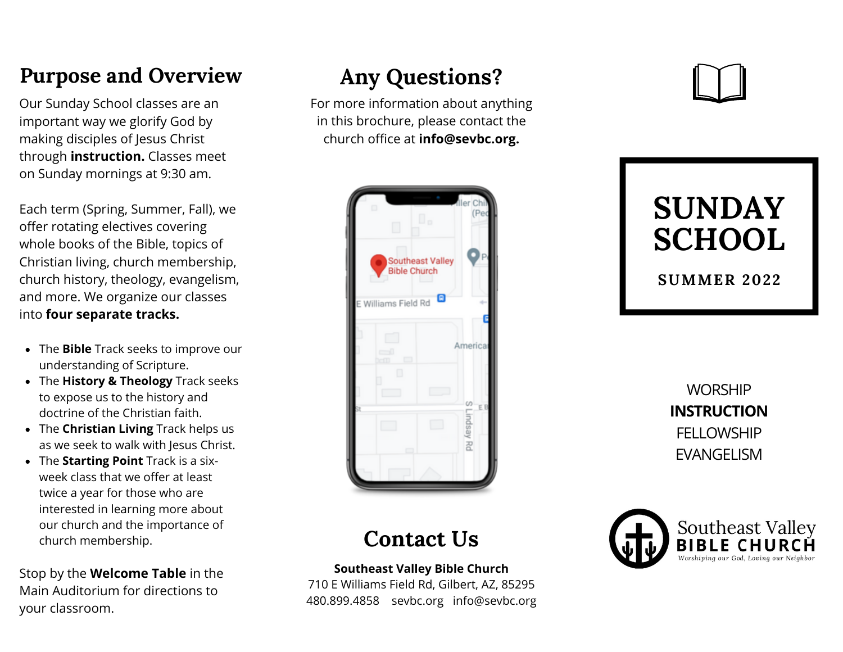## **Purpose and Overview**

Our Sunday School classes are an important way we glorify God by making disciples of Jesus Christ through **instruction.** Classes meet on Sunday mornings at 9:30 am.

Each term (Spring, Summer, Fall), we offer rotating electives covering whole books of the Bible, topics of Christian living, church membership, church history, theology, evangelism, and more. We organize our classes into **four separate tracks.**

- The **Bible** Track seeks to improve our understanding of Scripture.
- The **History & Theology** Track seeks to expose us to the history and doctrine of the Christian faith.
- The **Christian Living** Track helps us as we seek to walk with Jesus Christ.
- The **Starting Point** Track is a sixweek class that we offer at least twice a year for those who are interested in learning more about our church and the importance of church membership.

Stop by the **Welcome Table** in the Main Auditorium for directions to your classroom.

## **Any Questions?**

For more information about anything in this brochure, please contact the church office at **info@sevbc.org.**



## **Contact Us**

**Southeast Valley Bible Church**

710 E Williams Field Rd, Gilbert, AZ, 85295 480.899.4858 sevbc.org info@sevbc.org



**SUMMER 2022**

**WORSHIP INSTRUCTION FELLOWSHIP** EVANGELISM